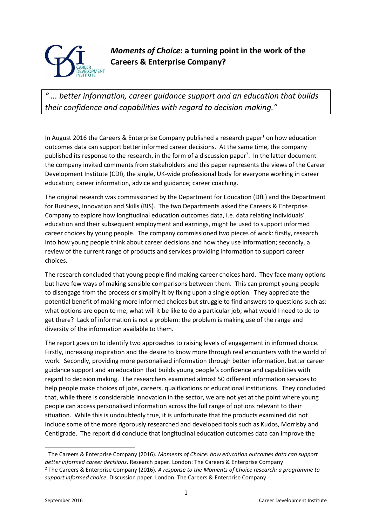

*Moments of Choice***: a turning point in the work of the Careers & Enterprise Company?**

*" ... better information, career guidance support and an education that builds their confidence and capabilities with regard to decision making."*

In August 2016 the Careers & Enterprise Company published a research paper<sup>1</sup> on how education outcomes data can support better informed career decisions. At the same time, the company published its response to the research, in the form of a discussion paper<sup>2</sup>. In the latter document the company invited comments from stakeholders and this paper represents the views of the Career Development Institute (CDI), the single, UK-wide professional body for everyone working in career education; career information, advice and guidance; career coaching.

The original research was commissioned by the Department for Education (DfE) and the Department for Business, Innovation and Skills (BIS). The two Departments asked the Careers & Enterprise Company to explore how longitudinal education outcomes data, i.e. data relating individuals' education and their subsequent employment and earnings, might be used to support informed career choices by young people. The company commissioned two pieces of work: firstly, research into how young people think about career decisions and how they use information; secondly, a review of the current range of products and services providing information to support career choices.

The research concluded that young people find making career choices hard. They face many options but have few ways of making sensible comparisons between them. This can prompt young people to disengage from the process or simplify it by fixing upon a single option. They appreciate the potential benefit of making more informed choices but struggle to find answers to questions such as: what options are open to me; what will it be like to do a particular job; what would I need to do to get there? Lack of information is not a problem: the problem is making use of the range and diversity of the information available to them.

The report goes on to identify two approaches to raising levels of engagement in informed choice. Firstly, increasing inspiration and the desire to know more through real encounters with the world of work. Secondly, providing more personalised information through better information, better career guidance support and an education that builds young people's confidence and capabilities with regard to decision making. The researchers examined almost 50 different information services to help people make choices of jobs, careers, qualifications or educational institutions. They concluded that, while there is considerable innovation in the sector, we are not yet at the point where young people can access personalised information across the full range of options relevant to their situation. While this is undoubtedly true, it is unfortunate that the products examined did not include some of the more rigorously researched and developed tools such as Kudos, Morrisby and Centigrade. The report did conclude that longitudinal education outcomes data can improve the

**.** 

<sup>1</sup> The Careers & Enterprise Company (2016). *Moments of Choice: how education outcomes data can support better informed career decisions*. Research paper. London: The Careers & Enterprise Company <sup>2</sup> The Careers & Enterprise Company (2016). *A response to the Moments of Choice research: a programme to support informed choice*. Discussion paper. London: The Careers & Enterprise Company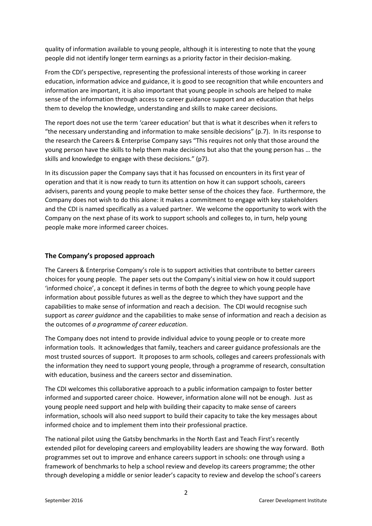quality of information available to young people, although it is interesting to note that the young people did not identify longer term earnings as a priority factor in their decision-making.

From the CDI's perspective, representing the professional interests of those working in career education, information advice and guidance, it is good to see recognition that while encounters and information are important, it is also important that young people in schools are helped to make sense of the information through access to career guidance support and an education that helps them to develop the knowledge, understanding and skills to make career decisions.

The report does not use the term 'career education' but that is what it describes when it refers to "the necessary understanding and information to make sensible decisions" (p.7). In its response to the research the Careers & Enterprise Company says "This requires not only that those around the young person have the skills to help them make decisions but also that the young person has … the skills and knowledge to engage with these decisions." (p7).

In its discussion paper the Company says that it has focussed on encounters in its first year of operation and that it is now ready to turn its attention on how it can support schools, careers advisers, parents and young people to make better sense of the choices they face. Furthermore, the Company does not wish to do this alone: it makes a commitment to engage with key stakeholders and the CDI is named specifically as a valued partner. We welcome the opportunity to work with the Company on the next phase of its work to support schools and colleges to, in turn, help young people make more informed career choices.

## **The Company's proposed approach**

The Careers & Enterprise Company's role is to support activities that contribute to better careers choices for young people. The paper sets out the Company's initial view on how it could support 'informed choice', a concept it defines in terms of both the degree to which young people have information about possible futures as well as the degree to which they have support and the capabilities to make sense of information and reach a decision. The CDI would recognise such support as *career guidance* and the capabilities to make sense of information and reach a decision as the outcomes of *a programme of career education*.

The Company does not intend to provide individual advice to young people or to create more information tools. It acknowledges that family, teachers and career guidance professionals are the most trusted sources of support. It proposes to arm schools, colleges and careers professionals with the information they need to support young people, through a programme of research, consultation with education, business and the careers sector and dissemination.

The CDI welcomes this collaborative approach to a public information campaign to foster better informed and supported career choice. However, information alone will not be enough. Just as young people need support and help with building their capacity to make sense of careers information, schools will also need support to build their capacity to take the key messages about informed choice and to implement them into their professional practice.

The national pilot using the Gatsby benchmarks in the North East and Teach First's recently extended pilot for developing careers and employability leaders are showing the way forward. Both programmes set out to improve and enhance careers support in schools: one through using a framework of benchmarks to help a school review and develop its careers programme; the other through developing a middle or senior leader's capacity to review and develop the school's careers